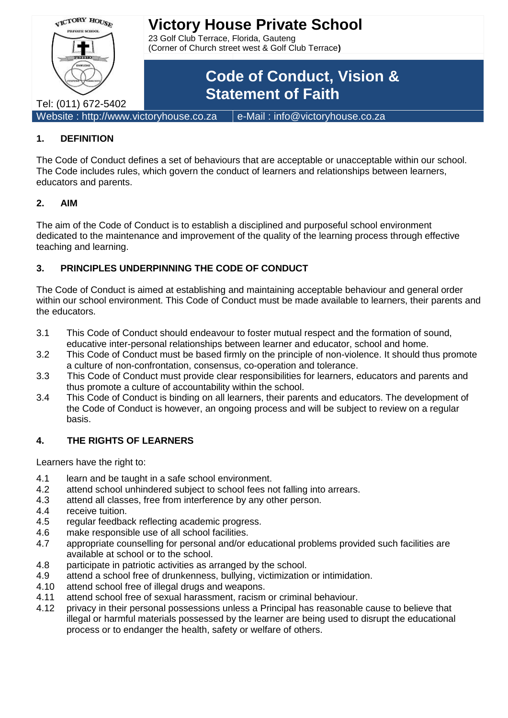

### **1. DEFINITION**

The Code of Conduct defines a set of behaviours that are acceptable or unacceptable within our school. The Code includes rules, which govern the conduct of learners and relationships between learners, educators and parents.

#### **2. AIM**

The aim of the Code of Conduct is to establish a disciplined and purposeful school environment dedicated to the maintenance and improvement of the quality of the learning process through effective teaching and learning.

### **3. PRINCIPLES UNDERPINNING THE CODE OF CONDUCT**

The Code of Conduct is aimed at establishing and maintaining acceptable behaviour and general order within our school environment. This Code of Conduct must be made available to learners, their parents and the educators.

- 3.1 This Code of Conduct should endeavour to foster mutual respect and the formation of sound, educative inter-personal relationships between learner and educator, school and home.
- 3.2 This Code of Conduct must be based firmly on the principle of non-violence. It should thus promote a culture of non-confrontation, consensus, co-operation and tolerance.
- 3.3 This Code of Conduct must provide clear responsibilities for learners, educators and parents and thus promote a culture of accountability within the school.
- 3.4 This Code of Conduct is binding on all learners, their parents and educators. The development of the Code of Conduct is however, an ongoing process and will be subject to review on a regular basis.

#### **4. THE RIGHTS OF LEARNERS**

Learners have the right to:

- 4.1 learn and be taught in a safe school environment.
- 4.2 attend school unhindered subject to school fees not falling into arrears.
- 4.3 attend all classes, free from interference by any other person.
- 4.4 receive tuition.
- 4.5 regular feedback reflecting academic progress.
- 4.6 make responsible use of all school facilities.
- 4.7 appropriate counselling for personal and/or educational problems provided such facilities are available at school or to the school.
- 4.8 participate in patriotic activities as arranged by the school.
- 4.9 attend a school free of drunkenness, bullying, victimization or intimidation.
- 4.10 attend school free of illegal drugs and weapons.
- 4.11 attend school free of sexual harassment, racism or criminal behaviour.
- 4.12 privacy in their personal possessions unless a Principal has reasonable cause to believe that illegal or harmful materials possessed by the learner are being used to disrupt the educational process or to endanger the health, safety or welfare of others.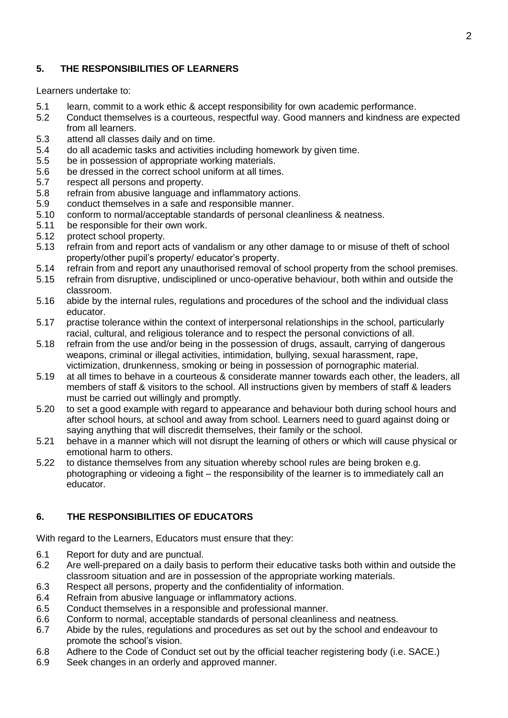#### **5. THE RESPONSIBILITIES OF LEARNERS**

Learners undertake to:

- 5.1 learn, commit to a work ethic & accept responsibility for own academic performance.
- 5.2 Conduct themselves is a courteous, respectful way. Good manners and kindness are expected from all learners.
- 5.3 attend all classes daily and on time.
- 5.4 do all academic tasks and activities including homework by given time.
- 5.5 be in possession of appropriate working materials.
- 5.6 be dressed in the correct school uniform at all times.
- 5.7 respect all persons and property.
- 5.8 refrain from abusive language and inflammatory actions.
- 5.9 conduct themselves in a safe and responsible manner.
- 5.10 conform to normal/acceptable standards of personal cleanliness & neatness.
- 5.11 be responsible for their own work.
- 5.12 protect school property.
- 5.13 refrain from and report acts of vandalism or any other damage to or misuse of theft of school property/other pupil's property/ educator's property.
- 5.14 refrain from and report any unauthorised removal of school property from the school premises.
- 5.15 refrain from disruptive, undisciplined or unco-operative behaviour, both within and outside the classroom.
- 5.16 abide by the internal rules, regulations and procedures of the school and the individual class educator.
- 5.17 practise tolerance within the context of interpersonal relationships in the school, particularly racial, cultural, and religious tolerance and to respect the personal convictions of all.
- 5.18 refrain from the use and/or being in the possession of drugs, assault, carrying of dangerous weapons, criminal or illegal activities, intimidation, bullying, sexual harassment, rape, victimization, drunkenness, smoking or being in possession of pornographic material.
- 5.19 at all times to behave in a courteous & considerate manner towards each other, the leaders, all members of staff & visitors to the school. All instructions given by members of staff & leaders must be carried out willingly and promptly.
- 5.20 to set a good example with regard to appearance and behaviour both during school hours and after school hours, at school and away from school. Learners need to guard against doing or saying anything that will discredit themselves, their family or the school.
- 5.21 behave in a manner which will not disrupt the learning of others or which will cause physical or emotional harm to others.
- 5.22 to distance themselves from any situation whereby school rules are being broken e.g. photographing or videoing a fight – the responsibility of the learner is to immediately call an educator.

#### **6. THE RESPONSIBILITIES OF EDUCATORS**

With regard to the Learners, Educators must ensure that they:

- 6.1 Report for duty and are punctual.
- 6.2 Are well-prepared on a daily basis to perform their educative tasks both within and outside the classroom situation and are in possession of the appropriate working materials.
- 6.3 Respect all persons, property and the confidentiality of information.
- 6.4 Refrain from abusive language or inflammatory actions.
- 6.5 Conduct themselves in a responsible and professional manner.
- 6.6 Conform to normal, acceptable standards of personal cleanliness and neatness.
- 6.7 Abide by the rules, regulations and procedures as set out by the school and endeavour to promote the school's vision.
- 6.8 Adhere to the Code of Conduct set out by the official teacher registering body (i.e. SACE.)
- 6.9 Seek changes in an orderly and approved manner.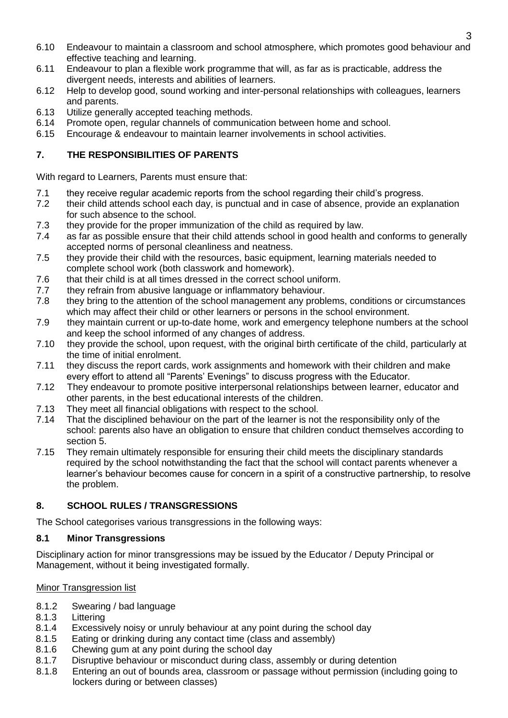- 6.10 Endeavour to maintain a classroom and school atmosphere, which promotes good behaviour and effective teaching and learning.
- 6.11 Endeavour to plan a flexible work programme that will, as far as is practicable, address the divergent needs, interests and abilities of learners.
- 6.12 Help to develop good, sound working and inter-personal relationships with colleagues, learners and parents.
- 6.13 Utilize generally accepted teaching methods.
- 6.14 Promote open, regular channels of communication between home and school.
- 6.15 Encourage & endeavour to maintain learner involvements in school activities.

## **7. THE RESPONSIBILITIES OF PARENTS**

With regard to Learners, Parents must ensure that:

- 7.1 they receive regular academic reports from the school regarding their child's progress.
- 7.2 their child attends school each day, is punctual and in case of absence, provide an explanation for such absence to the school.
- 7.3 they provide for the proper immunization of the child as required by law.
- 7.4 as far as possible ensure that their child attends school in good health and conforms to generally accepted norms of personal cleanliness and neatness.
- 7.5 they provide their child with the resources, basic equipment, learning materials needed to complete school work (both classwork and homework).
- 7.6 that their child is at all times dressed in the correct school uniform.
- 7.7 they refrain from abusive language or inflammatory behaviour.
- 7.8 they bring to the attention of the school management any problems, conditions or circumstances which may affect their child or other learners or persons in the school environment.
- 7.9 they maintain current or up-to-date home, work and emergency telephone numbers at the school and keep the school informed of any changes of address.
- 7.10 they provide the school, upon request, with the original birth certificate of the child, particularly at the time of initial enrolment.
- 7.11 they discuss the report cards, work assignments and homework with their children and make every effort to attend all "Parents' Evenings" to discuss progress with the Educator.
- 7.12 They endeavour to promote positive interpersonal relationships between learner, educator and other parents, in the best educational interests of the children.
- 7.13 They meet all financial obligations with respect to the school.
- 7.14 That the disciplined behaviour on the part of the learner is not the responsibility only of the school: parents also have an obligation to ensure that children conduct themselves according to section 5.
- 7.15 They remain ultimately responsible for ensuring their child meets the disciplinary standards required by the school notwithstanding the fact that the school will contact parents whenever a learner's behaviour becomes cause for concern in a spirit of a constructive partnership, to resolve the problem.

# **8. SCHOOL RULES / TRANSGRESSIONS**

The School categorises various transgressions in the following ways:

#### **8.1 Minor Transgressions**

Disciplinary action for minor transgressions may be issued by the Educator / Deputy Principal or Management, without it being investigated formally.

#### Minor Transgression list

- 8.1.2 Swearing / bad language
- 8.1.3 Littering
- 8.1.4 Excessively noisy or unruly behaviour at any point during the school day
- 8.1.5 Eating or drinking during any contact time (class and assembly)
- 8.1.6 Chewing gum at any point during the school day
- 8.1.7 Disruptive behaviour or misconduct during class, assembly or during detention
- 8.1.8 Entering an out of bounds area, classroom or passage without permission (including going to lockers during or between classes)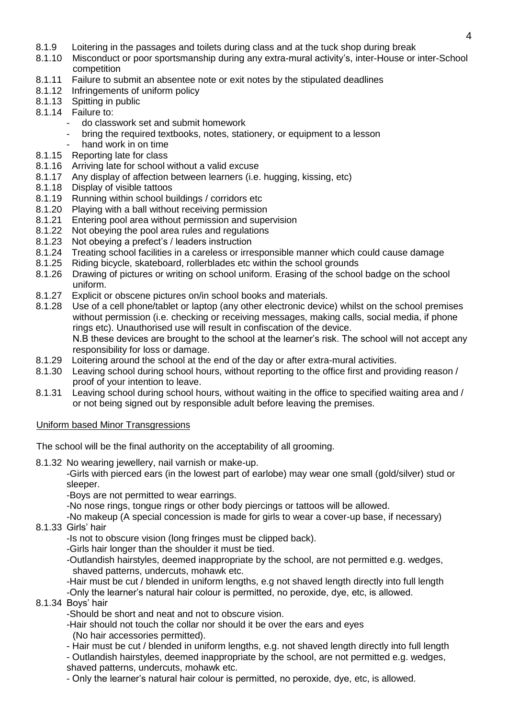- 8.1.9 Loitering in the passages and toilets during class and at the tuck shop during break
- 8.1.10 Misconduct or poor sportsmanship during any extra-mural activity's, inter-House or inter-School competition
- 8.1.11 Failure to submit an absentee note or exit notes by the stipulated deadlines
- 8.1.12 Infringements of uniform policy
- 8.1.13 Spitting in public
- 8.1.14 Failure to:
	- do classwork set and submit homework
	- bring the required textbooks, notes, stationery, or equipment to a lesson
	- hand work in on time
- 8.1.15 Reporting late for class
- 8.1.16 Arriving late for school without a valid excuse
- 8.1.17 Any display of affection between learners (i.e. hugging, kissing, etc)
- 8.1.18 Display of visible tattoos
- 8.1.19 Running within school buildings / corridors etc
- 8.1.20 Playing with a ball without receiving permission
- 8.1.21 Entering pool area without permission and supervision
- 8.1.22 Not obeying the pool area rules and regulations
- 8.1.23 Not obeying a prefect's / leaders instruction
- 8.1.24 Treating school facilities in a careless or irresponsible manner which could cause damage
- 8.1.25 Riding bicycle, skateboard, rollerblades etc within the school grounds
- 8.1.26 Drawing of pictures or writing on school uniform. Erasing of the school badge on the school uniform.
- 8.1.27 Explicit or obscene pictures on/in school books and materials.
- 8.1.28 Use of a cell phone/tablet or laptop (any other electronic device) whilst on the school premises without permission (i.e. checking or receiving messages, making calls, social media, if phone rings etc). Unauthorised use will result in confiscation of the device. N.B these devices are brought to the school at the learner's risk. The school will not accept any responsibility for loss or damage.
- 8.1.29 Loitering around the school at the end of the day or after extra-mural activities.
- 8.1.30 Leaving school during school hours, without reporting to the office first and providing reason / proof of your intention to leave.
- 8.1.31 Leaving school during school hours, without waiting in the office to specified waiting area and / or not being signed out by responsible adult before leaving the premises.

# Uniform based Minor Transgressions

The school will be the final authority on the acceptability of all grooming.

8.1.32 No wearing jewellery, nail varnish or make-up.

-Girls with pierced ears (in the lowest part of earlobe) may wear one small (gold/silver) stud or sleeper.

-Boys are not permitted to wear earrings.

-No nose rings, tongue rings or other body piercings or tattoos will be allowed.

-No makeup (A special concession is made for girls to wear a cover-up base, if necessary)

8.1.33 Girls' hair

-Is not to obscure vision (long fringes must be clipped back).

- -Girls hair longer than the shoulder it must be tied.
- -Outlandish hairstyles, deemed inappropriate by the school, are not permitted e.g. wedges, shaved patterns, undercuts, mohawk etc.
- -Hair must be cut / blended in uniform lengths, e.g not shaved length directly into full length

-Only the learner's natural hair colour is permitted, no peroxide, dye, etc, is allowed.

# 8.1.34 Boys' hair

-Should be short and neat and not to obscure vision.

-Hair should not touch the collar nor should it be over the ears and eyes (No hair accessories permitted).

- Hair must be cut / blended in uniform lengths, e.g. not shaved length directly into full length - Outlandish hairstyles, deemed inappropriate by the school, are not permitted e.g. wedges, shaved patterns, undercuts, mohawk etc.

- Only the learner's natural hair colour is permitted, no peroxide, dye, etc, is allowed.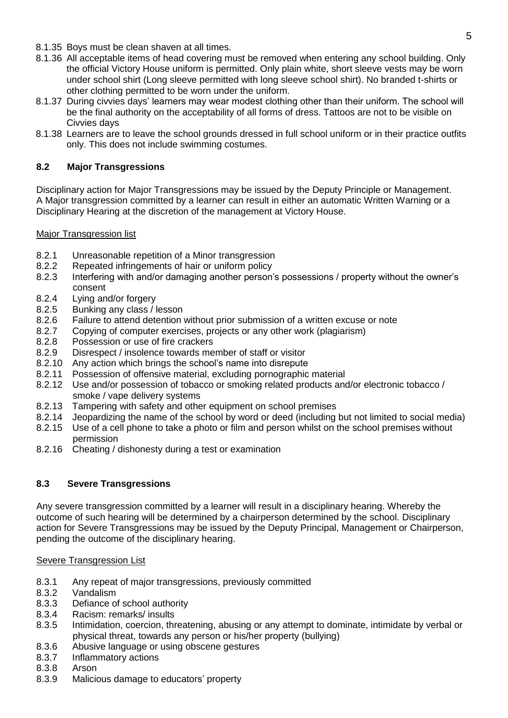- 8.1.35 Boys must be clean shaven at all times.
- 8.1.36 All acceptable items of head covering must be removed when entering any school building. Only the official Victory House uniform is permitted. Only plain white, short sleeve vests may be worn under school shirt (Long sleeve permitted with long sleeve school shirt). No branded t-shirts or other clothing permitted to be worn under the uniform.
- 8.1.37 During civvies days' learners may wear modest clothing other than their uniform. The school will be the final authority on the acceptability of all forms of dress. Tattoos are not to be visible on Civvies days
- 8.1.38 Learners are to leave the school grounds dressed in full school uniform or in their practice outfits only. This does not include swimming costumes.

### **8.2 Major Transgressions**

Disciplinary action for Major Transgressions may be issued by the Deputy Principle or Management. A Major transgression committed by a learner can result in either an automatic Written Warning or a Disciplinary Hearing at the discretion of the management at Victory House.

#### Major Transgression list

- 8.2.1 Unreasonable repetition of a Minor transgression
- 8.2.2 Repeated infringements of hair or uniform policy<br>8.2.3 Interfering with and/or damaging another person
- Interfering with and/or damaging another person's possessions / property without the owner's consent
- 8.2.4 Lying and/or forgery
- 8.2.5 Bunking any class / lesson
- 8.2.6 Failure to attend detention without prior submission of a written excuse or note
- 8.2.7 Copying of computer exercises, projects or any other work (plagiarism)
- 8.2.8 Possession or use of fire crackers
- 8.2.9 Disrespect / insolence towards member of staff or visitor
- 8.2.10 Any action which brings the school's name into disrepute
- 8.2.11 Possession of offensive material, excluding pornographic material
- 8.2.12 Use and/or possession of tobacco or smoking related products and/or electronic tobacco / smoke / vape delivery systems
- 8.2.13 Tampering with safety and other equipment on school premises
- 8.2.14 Jeopardizing the name of the school by word or deed (including but not limited to social media)
- 8.2.15 Use of a cell phone to take a photo or film and person whilst on the school premises without permission
- 8.2.16 Cheating / dishonesty during a test or examination

#### **8.3 Severe Transgressions**

Any severe transgression committed by a learner will result in a disciplinary hearing. Whereby the outcome of such hearing will be determined by a chairperson determined by the school. Disciplinary action for Severe Transgressions may be issued by the Deputy Principal, Management or Chairperson, pending the outcome of the disciplinary hearing.

#### Severe Transgression List

- 8.3.1 Any repeat of major transgressions, previously committed 8.3.2 Vandalism
- Vandalism
- 8.3.3 Defiance of school authority
- 8.3.4 Racism: remarks/ insults
- 8.3.5 Intimidation, coercion, threatening, abusing or any attempt to dominate, intimidate by verbal or physical threat, towards any person or his/her property (bullying)
- 8.3.6 Abusive language or using obscene gestures<br>8.3.7 Inflammatory actions
- Inflammatory actions
- 8.3.8 Arson
- 8.3.9 Malicious damage to educators' property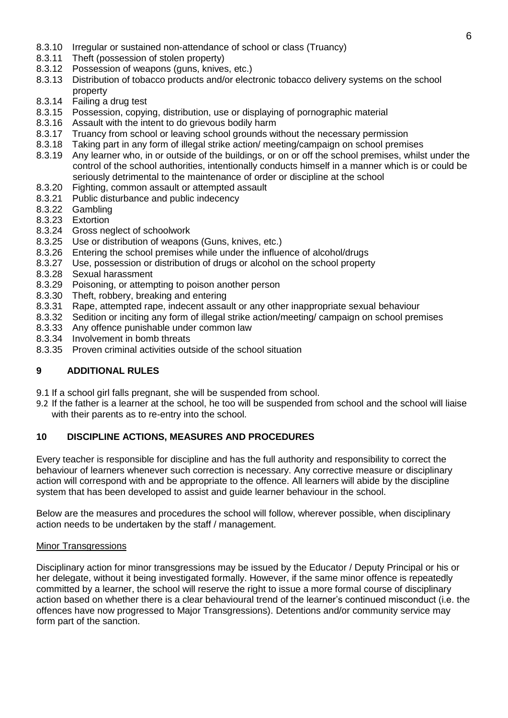- 8.3.10 Irregular or sustained non-attendance of school or class (Truancy)
- 8.3.11 Theft (possession of stolen property)
- 8.3.12 Possession of weapons (guns, knives, etc.)
- 8.3.13 Distribution of tobacco products and/or electronic tobacco delivery systems on the school property
- 8.3.14 Failing a drug test
- 8.3.15 Possession, copying, distribution, use or displaying of pornographic material
- 8.3.16 Assault with the intent to do grievous bodily harm
- 8.3.17 Truancy from school or leaving school grounds without the necessary permission
- 8.3.18 Taking part in any form of illegal strike action/ meeting/campaign on school premises
- 8.3.19 Any learner who, in or outside of the buildings, or on or off the school premises, whilst under the control of the school authorities, intentionally conducts himself in a manner which is or could be seriously detrimental to the maintenance of order or discipline at the school
- 8.3.20 Fighting, common assault or attempted assault
- 8.3.21 Public disturbance and public indecency
- 8.3.22 Gambling
- 8.3.23 Extortion
- 8.3.24 Gross neglect of schoolwork
- 8.3.25 Use or distribution of weapons (Guns, knives, etc.)
- 8.3.26 Entering the school premises while under the influence of alcohol/drugs
- 8.3.27 Use, possession or distribution of drugs or alcohol on the school property
- 8.3.28 Sexual harassment
- 8.3.29 Poisoning, or attempting to poison another person
- 8.3.30 Theft, robbery, breaking and entering
- 8.3.31 Rape, attempted rape, indecent assault or any other inappropriate sexual behaviour
- 8.3.32 Sedition or inciting any form of illegal strike action/meeting/ campaign on school premises
- 8.3.33 Any offence punishable under common law
- 8.3.34 Involvement in bomb threats
- 8.3.35 Proven criminal activities outside of the school situation

#### **9 ADDITIONAL RULES**

- 9.1 If a school girl falls pregnant, she will be suspended from school.
- 9.2 If the father is a learner at the school, he too will be suspended from school and the school will liaise with their parents as to re-entry into the school.

#### **10 DISCIPLINE ACTIONS, MEASURES AND PROCEDURES**

Every teacher is responsible for discipline and has the full authority and responsibility to correct the behaviour of learners whenever such correction is necessary. Any corrective measure or disciplinary action will correspond with and be appropriate to the offence. All learners will abide by the discipline system that has been developed to assist and guide learner behaviour in the school.

Below are the measures and procedures the school will follow, wherever possible, when disciplinary action needs to be undertaken by the staff / management.

#### Minor Transgressions

Disciplinary action for minor transgressions may be issued by the Educator / Deputy Principal or his or her delegate, without it being investigated formally. However, if the same minor offence is repeatedly committed by a learner, the school will reserve the right to issue a more formal course of disciplinary action based on whether there is a clear behavioural trend of the learner's continued misconduct (i.e. the offences have now progressed to Major Transgressions). Detentions and/or community service may form part of the sanction.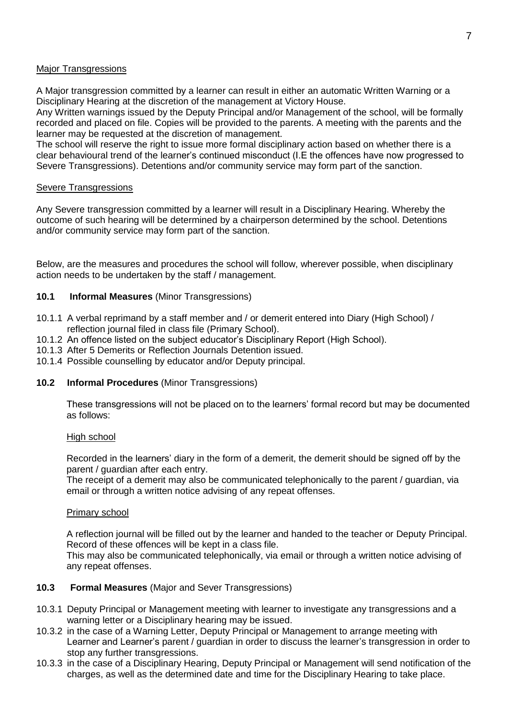#### Major Transgressions

A Major transgression committed by a learner can result in either an automatic Written Warning or a Disciplinary Hearing at the discretion of the management at Victory House.

Any Written warnings issued by the Deputy Principal and/or Management of the school, will be formally recorded and placed on file. Copies will be provided to the parents. A meeting with the parents and the learner may be requested at the discretion of management.

The school will reserve the right to issue more formal disciplinary action based on whether there is a clear behavioural trend of the learner's continued misconduct (I.E the offences have now progressed to Severe Transgressions). Detentions and/or community service may form part of the sanction.

#### Severe Transgressions

Any Severe transgression committed by a learner will result in a Disciplinary Hearing. Whereby the outcome of such hearing will be determined by a chairperson determined by the school. Detentions and/or community service may form part of the sanction.

Below, are the measures and procedures the school will follow, wherever possible, when disciplinary action needs to be undertaken by the staff / management.

#### **10.1 Informal Measures** (Minor Transgressions)

- 10.1.1 A verbal reprimand by a staff member and / or demerit entered into Diary (High School) / reflection journal filed in class file (Primary School).
- 10.1.2 An offence listed on the subject educator's Disciplinary Report (High School).
- 10.1.3 After 5 Demerits or Reflection Journals Detention issued.
- 10.1.4 Possible counselling by educator and/or Deputy principal.

#### **10.2 Informal Procedures** (Minor Transgressions)

These transgressions will not be placed on to the learners' formal record but may be documented as follows:

#### High school

Recorded in the learners' diary in the form of a demerit, the demerit should be signed off by the parent / guardian after each entry.

The receipt of a demerit may also be communicated telephonically to the parent / guardian, via email or through a written notice advising of any repeat offenses.

#### Primary school

A reflection journal will be filled out by the learner and handed to the teacher or Deputy Principal. Record of these offences will be kept in a class file.

This may also be communicated telephonically, via email or through a written notice advising of any repeat offenses.

#### **10.3 Formal Measures** (Major and Sever Transgressions)

- 10.3.1 Deputy Principal or Management meeting with learner to investigate any transgressions and a warning letter or a Disciplinary hearing may be issued.
- 10.3.2 in the case of a Warning Letter, Deputy Principal or Management to arrange meeting with Learner and Learner's parent / guardian in order to discuss the learner's transgression in order to stop any further transgressions.
- 10.3.3 in the case of a Disciplinary Hearing, Deputy Principal or Management will send notification of the charges, as well as the determined date and time for the Disciplinary Hearing to take place.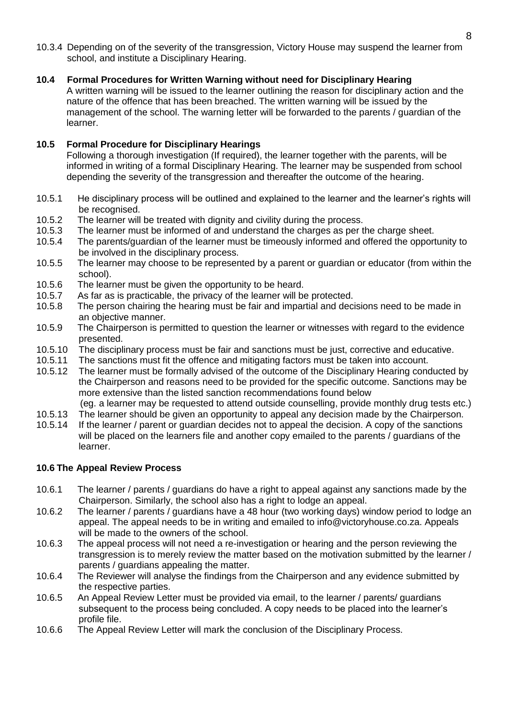10.3.4 Depending on of the severity of the transgression, Victory House may suspend the learner from school, and institute a Disciplinary Hearing.

#### **10.4 Formal Procedures for Written Warning without need for Disciplinary Hearing**

A written warning will be issued to the learner outlining the reason for disciplinary action and the nature of the offence that has been breached. The written warning will be issued by the management of the school. The warning letter will be forwarded to the parents / guardian of the learner.

#### **10.5 Formal Procedure for Disciplinary Hearings**

Following a thorough investigation (If required), the learner together with the parents, will be informed in writing of a formal Disciplinary Hearing. The learner may be suspended from school depending the severity of the transgression and thereafter the outcome of the hearing.

- 10.5.1 He disciplinary process will be outlined and explained to the learner and the learner's rights will be recognised.
- 10.5.2 The learner will be treated with dignity and civility during the process.
- 10.5.3 The learner must be informed of and understand the charges as per the charge sheet.
- 10.5.4 The parents/guardian of the learner must be timeously informed and offered the opportunity to be involved in the disciplinary process.
- 10.5.5 The learner may choose to be represented by a parent or guardian or educator (from within the school).
- 10.5.6 The learner must be given the opportunity to be heard.
- 10.5.7 As far as is practicable, the privacy of the learner will be protected.
- 10.5.8 The person chairing the hearing must be fair and impartial and decisions need to be made in an objective manner.
- 10.5.9 The Chairperson is permitted to question the learner or witnesses with regard to the evidence presented.
- 10.5.10 The disciplinary process must be fair and sanctions must be just, corrective and educative.
- 10.5.11 The sanctions must fit the offence and mitigating factors must be taken into account.
- 10.5.12 The learner must be formally advised of the outcome of the Disciplinary Hearing conducted by the Chairperson and reasons need to be provided for the specific outcome. Sanctions may be more extensive than the listed sanction recommendations found below
	- (eg. a learner may be requested to attend outside counselling, provide monthly drug tests etc.)
- 10.5.13 The learner should be given an opportunity to appeal any decision made by the Chairperson.
- 10.5.14 If the learner / parent or guardian decides not to appeal the decision. A copy of the sanctions will be placed on the learners file and another copy emailed to the parents / guardians of the learner.

#### **10.6 The Appeal Review Process**

- 10.6.1 The learner / parents / guardians do have a right to appeal against any sanctions made by the Chairperson. Similarly, the school also has a right to lodge an appeal.
- 10.6.2 The learner / parents / guardians have a 48 hour (two working days) window period to lodge an appeal. The appeal needs to be in writing and emailed to info@victoryhouse.co.za. Appeals will be made to the owners of the school.
- 10.6.3 The appeal process will not need a re-investigation or hearing and the person reviewing the transgression is to merely review the matter based on the motivation submitted by the learner / parents / guardians appealing the matter.
- 10.6.4 The Reviewer will analyse the findings from the Chairperson and any evidence submitted by the respective parties.
- 10.6.5 An Appeal Review Letter must be provided via email, to the learner / parents/ guardians subsequent to the process being concluded. A copy needs to be placed into the learner's profile file.
- 10.6.6 The Appeal Review Letter will mark the conclusion of the Disciplinary Process.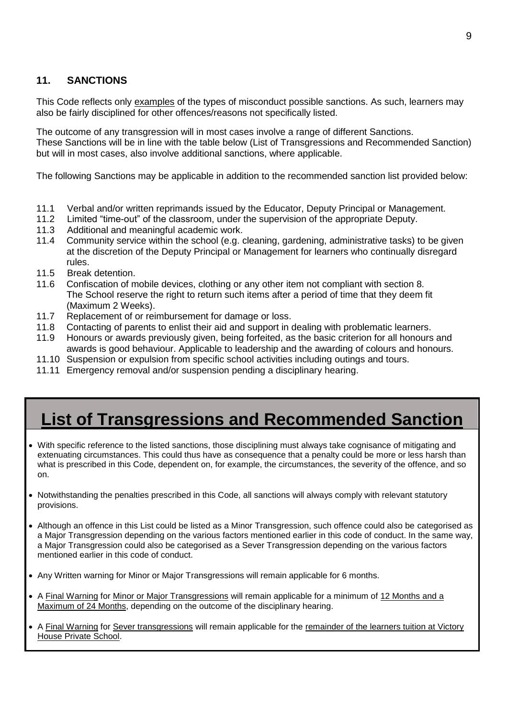# **11. SANCTIONS**

This Code reflects only examples of the types of misconduct possible sanctions. As such, learners may also be fairly disciplined for other offences/reasons not specifically listed.

The outcome of any transgression will in most cases involve a range of different Sanctions. These Sanctions will be in line with the table below (List of Transgressions and Recommended Sanction) but will in most cases, also involve additional sanctions, where applicable.

The following Sanctions may be applicable in addition to the recommended sanction list provided below:

- 11.1 Verbal and/or written reprimands issued by the Educator, Deputy Principal or Management.
- 11.2 Limited "time-out" of the classroom, under the supervision of the appropriate Deputy.
- 11.3 Additional and meaningful academic work.
- 11.4 Community service within the school (e.g. cleaning, gardening, administrative tasks) to be given at the discretion of the Deputy Principal or Management for learners who continually disregard rules.
- 11.5 Break detention.
- 11.6 Confiscation of mobile devices, clothing or any other item not compliant with section 8. The School reserve the right to return such items after a period of time that they deem fit (Maximum 2 Weeks).
- 11.7 Replacement of or reimbursement for damage or loss.
- 11.8 Contacting of parents to enlist their aid and support in dealing with problematic learners.
- 11.9 Honours or awards previously given, being forfeited, as the basic criterion for all honours and awards is good behaviour. Applicable to leadership and the awarding of colours and honours.
- 11.10 Suspension or expulsion from specific school activities including outings and tours.
- 11.11 Emergency removal and/or suspension pending a disciplinary hearing.

# **List of Transgressions and Recommended Sanction**

- With specific reference to the listed sanctions, those disciplining must always take cognisance of mitigating and extenuating circumstances. This could thus have as consequence that a penalty could be more or less harsh than what is prescribed in this Code, dependent on, for example, the circumstances, the severity of the offence, and so on.
- Notwithstanding the penalties prescribed in this Code, all sanctions will always comply with relevant statutory provisions.
- Although an offence in this List could be listed as a Minor Transgression, such offence could also be categorised as a Major Transgression depending on the various factors mentioned earlier in this code of conduct. In the same way, a Major Transgression could also be categorised as a Sever Transgression depending on the various factors mentioned earlier in this code of conduct.
- Any Written warning for Minor or Major Transgressions will remain applicable for 6 months.
- A Final Warning for Minor or Major Transgressions will remain applicable for a minimum of 12 Months and a Maximum of 24 Months, depending on the outcome of the disciplinary hearing.
- A Final Warning for Sever transgressions will remain applicable for the remainder of the learners tuition at Victory House Private School.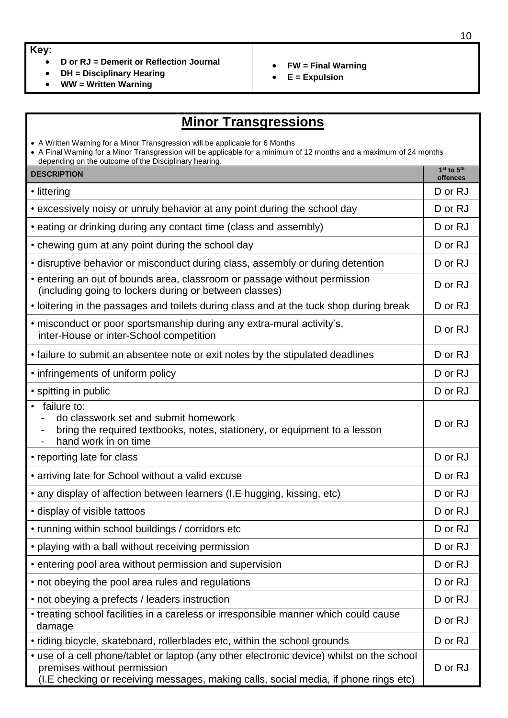#### **Key:**

- **D or RJ = Demerit or Reflection Journal**
- **DH = Disciplinary Hearing**
- **WW = Written Warning**
- **FW = Final Warning**
- **E = Expulsion**

# **Minor Transgressions**

| <b>MINOL LEANSGLESSIONS</b>                                                                                                                                                                                                                                    |                                                |  |
|----------------------------------------------------------------------------------------------------------------------------------------------------------------------------------------------------------------------------------------------------------------|------------------------------------------------|--|
| • A Written Warning for a Minor Transgression will be applicable for 6 Months<br>• A Final Warning for a Minor Transgression will be applicable for a minimum of 12 months and a maximum of 24 months<br>depending on the outcome of the Disciplinary hearing. |                                                |  |
| <b>DESCRIPTION</b>                                                                                                                                                                                                                                             | 1 <sup>st</sup> to 5 <sup>th</sup><br>offences |  |
| • littering                                                                                                                                                                                                                                                    | D or RJ                                        |  |
| • excessively noisy or unruly behavior at any point during the school day                                                                                                                                                                                      | D or RJ                                        |  |
| • eating or drinking during any contact time (class and assembly)                                                                                                                                                                                              | D or RJ                                        |  |
| • chewing gum at any point during the school day                                                                                                                                                                                                               | D or RJ                                        |  |
| • disruptive behavior or misconduct during class, assembly or during detention                                                                                                                                                                                 | D or RJ                                        |  |
| • entering an out of bounds area, classroom or passage without permission<br>(including going to lockers during or between classes)                                                                                                                            | D or RJ                                        |  |
| • loitering in the passages and toilets during class and at the tuck shop during break                                                                                                                                                                         | D or RJ                                        |  |
| • misconduct or poor sportsmanship during any extra-mural activity's,<br>inter-House or inter-School competition                                                                                                                                               | D or RJ                                        |  |
| • failure to submit an absentee note or exit notes by the stipulated deadlines                                                                                                                                                                                 | D or RJ                                        |  |
| • infringements of uniform policy                                                                                                                                                                                                                              | D or RJ                                        |  |
| • spitting in public                                                                                                                                                                                                                                           | D or RJ                                        |  |
| · failure to:<br>do classwork set and submit homework<br>bring the required textbooks, notes, stationery, or equipment to a lesson<br>hand work in on time                                                                                                     | D or RJ                                        |  |
| • reporting late for class                                                                                                                                                                                                                                     | D or RJ                                        |  |
| • arriving late for School without a valid excuse                                                                                                                                                                                                              | D or RJ                                        |  |
| • any display of affection between learners (I.E hugging, kissing, etc)                                                                                                                                                                                        | D or RJ                                        |  |
| · display of visible tattoos                                                                                                                                                                                                                                   | D or RJ                                        |  |
| • running within school buildings / corridors etc                                                                                                                                                                                                              | D or RJ                                        |  |
| • playing with a ball without receiving permission                                                                                                                                                                                                             | D or RJ                                        |  |
| • entering pool area without permission and supervision                                                                                                                                                                                                        | D or RJ                                        |  |
| • not obeying the pool area rules and regulations                                                                                                                                                                                                              | D or RJ                                        |  |

- not obeying a prefects / leaders instruction  $\Box$  D or RJ
- treating school facilities in a careless or irresponsible manner which could cause D or RJ<br>damage
- riding bicycle, skateboard, rollerblades etc, within the school grounds <br>
<u>D</u> or RJ • use of a cell phone/tablet or laptop (any other electronic device) whilst on the school premises without permission (I.E checking or receiving messages, making calls, social media, if phone rings etc) D or RJ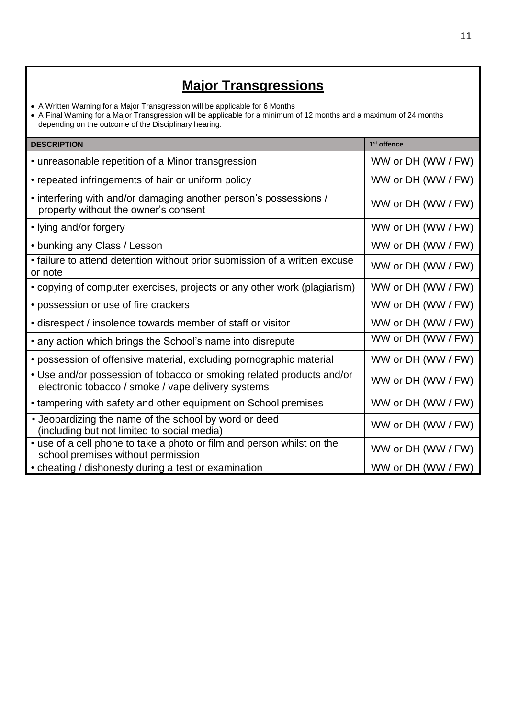# **Major Transgressions**

• A Written Warning for a Major Transgression will be applicable for 6 Months

 A Final Warning for a Major Transgression will be applicable for a minimum of 12 months and a maximum of 24 months depending on the outcome of the Disciplinary hearing.

| <b>DESCRIPTION</b>                                                                                                          | 1 <sup>st</sup> offence |
|-----------------------------------------------------------------------------------------------------------------------------|-------------------------|
| • unreasonable repetition of a Minor transgression                                                                          | WW or DH (WW / FW)      |
| • repeated infringements of hair or uniform policy                                                                          | WW or DH (WW / FW)      |
| • interfering with and/or damaging another person's possessions /<br>property without the owner's consent                   | WW or DH (WW / FW)      |
| • lying and/or forgery                                                                                                      | WW or DH (WW / FW)      |
| • bunking any Class / Lesson                                                                                                | WW or DH (WW / FW)      |
| • failure to attend detention without prior submission of a written excuse<br>or note                                       | WW or DH (WW / FW)      |
| • copying of computer exercises, projects or any other work (plagiarism)                                                    | WW or DH (WW / FW)      |
| • possession or use of fire crackers                                                                                        | WW or DH (WW / FW)      |
| • disrespect / insolence towards member of staff or visitor                                                                 | WW or DH (WW / FW)      |
| • any action which brings the School's name into disrepute                                                                  | WW or DH (WW / FW)      |
| • possession of offensive material, excluding pornographic material                                                         | WW or DH (WW / FW)      |
| • Use and/or possession of tobacco or smoking related products and/or<br>electronic tobacco / smoke / vape delivery systems | WW or DH (WW / FW)      |
| • tampering with safety and other equipment on School premises                                                              | WW or DH (WW / FW)      |
| • Jeopardizing the name of the school by word or deed<br>(including but not limited to social media)                        | WW or DH (WW / FW)      |
| • use of a cell phone to take a photo or film and person whilst on the<br>school premises without permission                | WW or DH (WW / FW)      |
| • cheating / dishonesty during a test or examination                                                                        | WW or DH (WW / FW)      |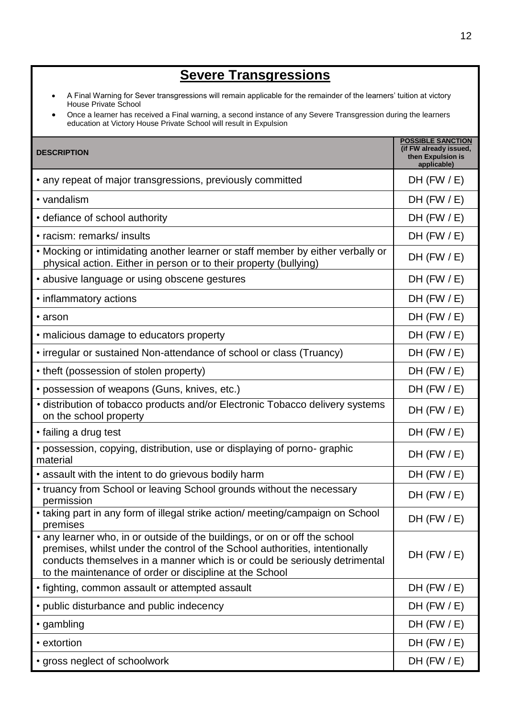# **Severe Transgressions**

- A Final Warning for Sever transgressions will remain applicable for the remainder of the learners' tuition at victory House Private School
- Once a learner has received a Final warning, a second instance of any Severe Transgression during the learners education at Victory House Private School will result in Expulsion

| <b>DESCRIPTION</b>                                                                                                                                                                                                                                                                                 | <b>POSSIBLE SANCTION</b><br>(if FW already issued,<br>then Expulsion is<br>applicable) |
|----------------------------------------------------------------------------------------------------------------------------------------------------------------------------------------------------------------------------------------------------------------------------------------------------|----------------------------------------------------------------------------------------|
| • any repeat of major transgressions, previously committed                                                                                                                                                                                                                                         | DH $(FW / E)$                                                                          |
| • vandalism                                                                                                                                                                                                                                                                                        | $DH$ (FW $/E$ )                                                                        |
| • defiance of school authority                                                                                                                                                                                                                                                                     | $DH$ (FW $/E$ )                                                                        |
| • racism: remarks/ insults                                                                                                                                                                                                                                                                         | $DH$ (FW $/E$ )                                                                        |
| • Mocking or intimidating another learner or staff member by either verbally or<br>physical action. Either in person or to their property (bullying)                                                                                                                                               | $DH$ (FW $/E$ )                                                                        |
| • abusive language or using obscene gestures                                                                                                                                                                                                                                                       | $DH$ (FW $/E$ )                                                                        |
| • inflammatory actions                                                                                                                                                                                                                                                                             | $DH$ (FW $/E$ )                                                                        |
| • arson                                                                                                                                                                                                                                                                                            | $DH$ (FW $/E$ )                                                                        |
| • malicious damage to educators property                                                                                                                                                                                                                                                           | $DH$ (FW $/E$ )                                                                        |
| • irregular or sustained Non-attendance of school or class (Truancy)                                                                                                                                                                                                                               | $DH$ (FW $/E$ )                                                                        |
| • theft (possession of stolen property)                                                                                                                                                                                                                                                            | $DH$ (FW $/E$ )                                                                        |
| • possession of weapons (Guns, knives, etc.)                                                                                                                                                                                                                                                       | $DH$ (FW $/E$ )                                                                        |
| · distribution of tobacco products and/or Electronic Tobacco delivery systems<br>on the school property                                                                                                                                                                                            | $DH$ (FW $/E$ )                                                                        |
| • failing a drug test                                                                                                                                                                                                                                                                              | $DH$ (FW $/E$ )                                                                        |
| • possession, copying, distribution, use or displaying of porno-graphic<br>material                                                                                                                                                                                                                | DH $(FW / E)$                                                                          |
| • assault with the intent to do grievous bodily harm                                                                                                                                                                                                                                               | $DH$ (FW $/E$ )                                                                        |
| • truancy from School or leaving School grounds without the necessary<br>permission                                                                                                                                                                                                                | $DH$ (FW $/E$ )                                                                        |
| • taking part in any form of illegal strike action/ meeting/campaign on School<br>premises                                                                                                                                                                                                         | $DH$ (FW $/E$ )                                                                        |
| • any learner who, in or outside of the buildings, or on or off the school<br>premises, whilst under the control of the School authorities, intentionally<br>conducts themselves in a manner which is or could be seriously detrimental<br>to the maintenance of order or discipline at the School | $DH$ (FW $/E$ )                                                                        |
| • fighting, common assault or attempted assault                                                                                                                                                                                                                                                    | $DH$ (FW $/E$ )                                                                        |
| • public disturbance and public indecency                                                                                                                                                                                                                                                          | $DH$ (FW $/E$ )                                                                        |
| • gambling                                                                                                                                                                                                                                                                                         | $DH$ (FW $/E$ )                                                                        |
| • extortion                                                                                                                                                                                                                                                                                        | $DH$ (FW $/E$ )                                                                        |
| • gross neglect of schoolwork                                                                                                                                                                                                                                                                      | $DH$ (FW $/E$ )                                                                        |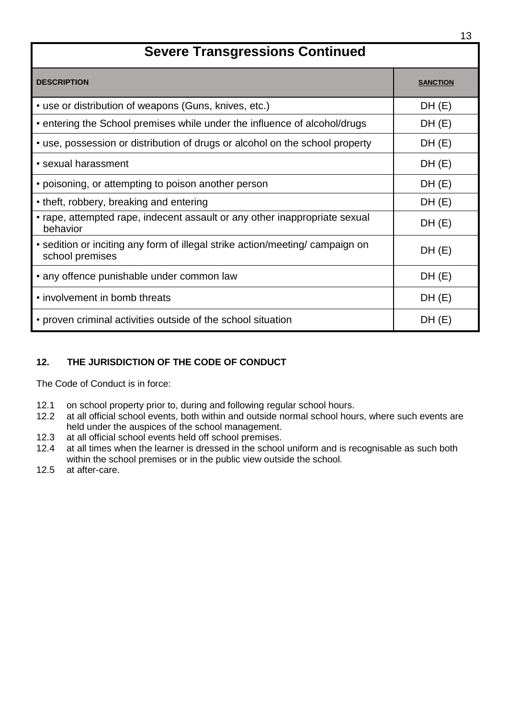# **Severe Transgressions Continued**

| <b>DESCRIPTION</b>                                                                               | <b>SANCTION</b> |
|--------------------------------------------------------------------------------------------------|-----------------|
| • use or distribution of weapons (Guns, knives, etc.)                                            | DH(E)           |
| • entering the School premises while under the influence of alcohol/drugs                        | DH(E)           |
| • use, possession or distribution of drugs or alcohol on the school property                     | DH(E)           |
| • sexual harassment                                                                              | DH(E)           |
| • poisoning, or attempting to poison another person                                              | DH(E)           |
| • theft, robbery, breaking and entering                                                          | DH(E)           |
| • rape, attempted rape, indecent assault or any other inappropriate sexual<br>behavior           | DH(E)           |
| • sedition or inciting any form of illegal strike action/meeting/ campaign on<br>school premises | DH(E)           |
| • any offence punishable under common law                                                        | DH(E)           |
| • involvement in bomb threats                                                                    | DH(E)           |
| • proven criminal activities outside of the school situation                                     | DH(E)           |

# **12. THE JURISDICTION OF THE CODE OF CONDUCT**

The Code of Conduct is in force:

- 12.1 on school property prior to, during and following regular school hours.
- 12.2 at all official school events, both within and outside normal school hours, where such events are held under the auspices of the school management.
- 12.3 at all official school events held off school premises.
- 12.4 at all times when the learner is dressed in the school uniform and is recognisable as such both within the school premises or in the public view outside the school.
- 12.5 at after-care.